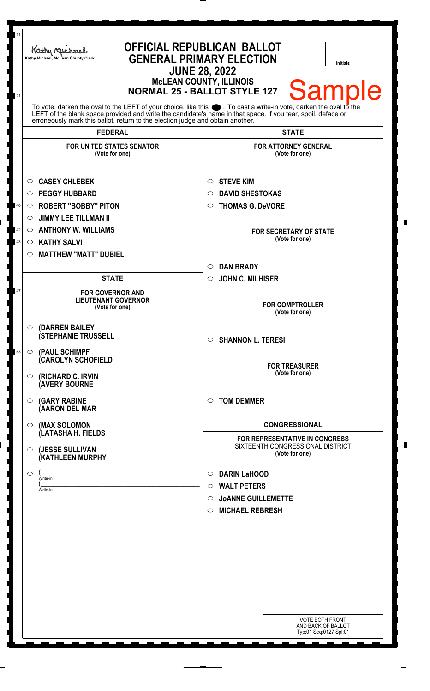| 11<br>21 | Kathy Michael<br>Kathy Michael, McLean County Clerk                                                                                                                                                                                                                                                                       | <b>OFFICIAL REPUBLICAN BALLOT</b><br><b>GENERAL PRIMARY ELECTION</b><br><b>Initials</b><br><b>JUNE 28, 2022</b><br><b>MCLEAN COUNTY, ILLINOIS</b><br><b>Sample</b><br><b>NORMAL 25 - BALLOT STYLE 127</b> |
|----------|---------------------------------------------------------------------------------------------------------------------------------------------------------------------------------------------------------------------------------------------------------------------------------------------------------------------------|-----------------------------------------------------------------------------------------------------------------------------------------------------------------------------------------------------------|
|          | To vote, darken the oval to the LEFT of your choice, like this $\bullet$ . To cast a write-in vote, darken the oval to the<br>LEFT of the blank space provided and write the candidate's name in that space. If you tear, spoil, deface or erroneously mark this ballot, return to the election judge and obtain another. |                                                                                                                                                                                                           |
|          | <b>FEDERAL</b>                                                                                                                                                                                                                                                                                                            | <b>STATE</b>                                                                                                                                                                                              |
|          | <b>FOR UNITED STATES SENATOR</b><br>(Vote for one)                                                                                                                                                                                                                                                                        | <b>FOR ATTORNEY GENERAL</b><br>(Vote for one)                                                                                                                                                             |
|          | <b>CASEY CHLEBEK</b><br>O                                                                                                                                                                                                                                                                                                 | <b>STEVE KIM</b><br>O                                                                                                                                                                                     |
|          | <b>PEGGY HUBBARD</b><br>$\circ$                                                                                                                                                                                                                                                                                           | <b>DAVID SHESTOKAS</b><br>O                                                                                                                                                                               |
| 40       | <b>ROBERT "BOBBY" PITON</b><br>$\circ$                                                                                                                                                                                                                                                                                    | <b>THOMAS G. DeVORE</b><br>$\circ$                                                                                                                                                                        |
|          | <b>JIMMY LEE TILLMAN II</b><br>$\circ$                                                                                                                                                                                                                                                                                    |                                                                                                                                                                                                           |
| 42       | <b>ANTHONY W. WILLIAMS</b><br>$\circ$                                                                                                                                                                                                                                                                                     | <b>FOR SECRETARY OF STATE</b>                                                                                                                                                                             |
| 43       | <b>KATHY SALVI</b><br>$\circ$                                                                                                                                                                                                                                                                                             | (Vote for one)                                                                                                                                                                                            |
|          | <b>MATTHEW "MATT" DUBIEL</b><br>O                                                                                                                                                                                                                                                                                         |                                                                                                                                                                                                           |
|          |                                                                                                                                                                                                                                                                                                                           | <b>DAN BRADY</b><br>$\circ$                                                                                                                                                                               |
|          | <b>STATE</b>                                                                                                                                                                                                                                                                                                              | <b>JOHN C. MILHISER</b><br>$\circ$                                                                                                                                                                        |
| 47       | <b>FOR GOVERNOR AND</b><br><b>LIEUTENANT GOVERNOR</b><br>(Vote for one)                                                                                                                                                                                                                                                   | <b>FOR COMPTROLLER</b><br>(Vote for one)                                                                                                                                                                  |
| 53       | $\circ$ (DARREN BAILEY<br><b>(STEPHANIE TRUSSELL</b><br>(PAUL SCHIMPF<br>$\circ$                                                                                                                                                                                                                                          | <b>SHANNON L. TERESI</b><br>$\circ$                                                                                                                                                                       |
|          | (CAROLYN SCHOFIELD<br><b>(RICHARD C. IRVIN</b><br>$\circ$<br><b>(AVERY BOURNE</b>                                                                                                                                                                                                                                         | <b>FOR TREASURER</b><br>(Vote for one)                                                                                                                                                                    |
|          | <b>(GARY RABINE</b><br>$\circ$<br>(AARON DEL MAR                                                                                                                                                                                                                                                                          | <b>TOM DEMMER</b><br>◯                                                                                                                                                                                    |
|          | (MAX SOLOMON<br>$\bigcirc$                                                                                                                                                                                                                                                                                                | <b>CONGRESSIONAL</b>                                                                                                                                                                                      |
|          | (LATASHA H. FIELDS<br>(JESSE SULLIVAN<br>$\circ$<br>(KATHLEEN MURPHY                                                                                                                                                                                                                                                      | FOR REPRESENTATIVE IN CONGRESS<br>SIXTEENTH CONGRESSIONAL DISTRICT<br>(Vote for one)                                                                                                                      |
|          | O<br>Write-in                                                                                                                                                                                                                                                                                                             | <b>DARIN LaHOOD</b><br>$\circ$                                                                                                                                                                            |
|          | Write-in                                                                                                                                                                                                                                                                                                                  | <b>WALT PETERS</b><br>$\circ$                                                                                                                                                                             |
|          |                                                                                                                                                                                                                                                                                                                           | <b>JOANNE GUILLEMETTE</b><br>$\circ$                                                                                                                                                                      |
|          |                                                                                                                                                                                                                                                                                                                           | <b>MICHAEL REBRESH</b><br>$\circ$                                                                                                                                                                         |
|          |                                                                                                                                                                                                                                                                                                                           |                                                                                                                                                                                                           |
|          |                                                                                                                                                                                                                                                                                                                           |                                                                                                                                                                                                           |
|          |                                                                                                                                                                                                                                                                                                                           |                                                                                                                                                                                                           |
|          |                                                                                                                                                                                                                                                                                                                           |                                                                                                                                                                                                           |
|          |                                                                                                                                                                                                                                                                                                                           |                                                                                                                                                                                                           |
|          |                                                                                                                                                                                                                                                                                                                           |                                                                                                                                                                                                           |
|          |                                                                                                                                                                                                                                                                                                                           |                                                                                                                                                                                                           |
|          |                                                                                                                                                                                                                                                                                                                           | <b>VOTE BOTH FRONT</b><br>AND BACK OF BALLOT<br>Typ:01 Seq:0127 Spl:01                                                                                                                                    |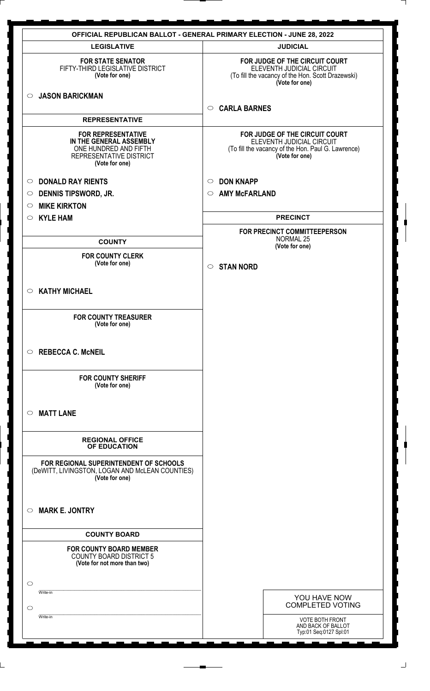| <b>LEGISLATIVE</b>                                                                                                         | <b>JUDICIAL</b>                                                                                                                     |
|----------------------------------------------------------------------------------------------------------------------------|-------------------------------------------------------------------------------------------------------------------------------------|
|                                                                                                                            |                                                                                                                                     |
| <b>FOR STATE SENATOR</b><br>FIFTY-THIRD LEGISLATIVE DISTRICT<br>(Vote for one)                                             | FOR JUDGE OF THE CIRCUIT COURT<br>ELEVENTH JUDICIAL CIRCUIT<br>(To fill the vacancy of the Hon. Scott Drazewski)<br>(Vote for one)  |
| <b>JASON BARICKMAN</b><br>$\circ$                                                                                          | <b>CARLA BARNES</b><br>$\circ$                                                                                                      |
| <b>REPRESENTATIVE</b>                                                                                                      |                                                                                                                                     |
| <b>FOR REPRESENTATIVE</b><br>IN THE GENERAL ASSEMBLY<br>ONE HUNDRED AND FIFTH<br>REPRESENTATIVE DISTRICT<br>(Vote for one) | FOR JUDGE OF THE CIRCUIT COURT<br>ELEVENTH JUDICIAL CIRCUIT<br>(To fill the vacancy of the Hon. Paul G. Lawrence)<br>(Vote for one) |
| <b>DONALD RAY RIENTS</b><br>$\circ$                                                                                        | <b>DON KNAPP</b><br>$\circ$                                                                                                         |
| <b>DENNIS TIPSWORD, JR.</b><br>$\circ$                                                                                     | <b>AMY McFARLAND</b><br>$\circ$                                                                                                     |
| <b>MIKE KIRKTON</b><br>$\circ$                                                                                             |                                                                                                                                     |
| <b>KYLE HAM</b><br>$\circ$                                                                                                 | <b>PRECINCT</b>                                                                                                                     |
| <b>COUNTY</b>                                                                                                              | FOR PRECINCT COMMITTEEPERSON<br><b>NORMAL 25</b><br>(Vote for one)                                                                  |
| <b>FOR COUNTY CLERK</b><br>(Vote for one)                                                                                  |                                                                                                                                     |
|                                                                                                                            | <b>STAN NORD</b><br>$\circ$                                                                                                         |
| <b>KATHY MICHAEL</b><br>$\circ$                                                                                            |                                                                                                                                     |
| <b>FOR COUNTY TREASURER</b><br>(Vote for one)                                                                              |                                                                                                                                     |
| <b>REBECCA C. McNEIL</b><br>$\circ$                                                                                        |                                                                                                                                     |
| <b>FOR COUNTY SHERIFF</b><br>(Vote for one)                                                                                |                                                                                                                                     |
| <b>MATT LANE</b><br>$\circ$                                                                                                |                                                                                                                                     |
| <b>REGIONAL OFFICE</b><br><b>OF EDUCATION</b>                                                                              |                                                                                                                                     |
| FOR REGIONAL SUPERINTENDENT OF SCHOOLS<br>(DeWITT, LIVINGSTON, LOGAN AND McLEAN COUNTIES)<br>(Vote for one)                |                                                                                                                                     |
| <b>MARK E. JONTRY</b><br>$\circ$                                                                                           |                                                                                                                                     |
| <b>COUNTY BOARD</b>                                                                                                        |                                                                                                                                     |
| <b>FOR COUNTY BOARD MEMBER</b><br><b>COUNTY BOARD DISTRICT 5</b><br>(Vote for not more than two)                           |                                                                                                                                     |
| $\circ$                                                                                                                    |                                                                                                                                     |
| Write-in                                                                                                                   | YOU HAVE NOW                                                                                                                        |
| $\circlearrowright$<br>Write-in                                                                                            | <b>COMPLETED VOTING</b>                                                                                                             |
|                                                                                                                            | <b>VOTE BOTH FRONT</b><br>AND BACK OF BALLOT<br>Typ:01 Seq:0127 Spl:01                                                              |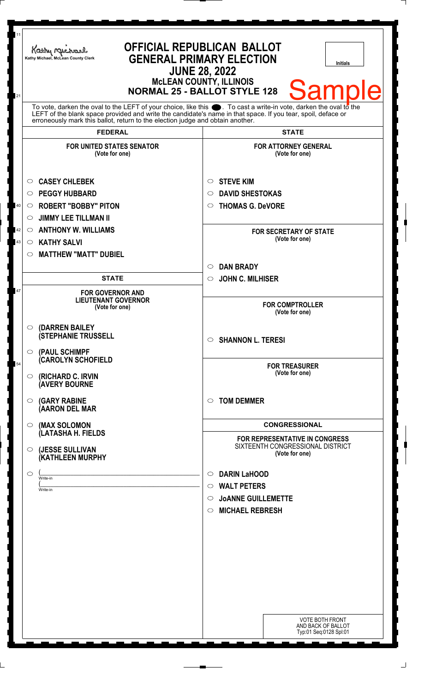| 11<br>21 | Kathy Michael<br>Kathy Michael, McLean County Clerk                                                                                                                                                                                                                                                                | <b>OFFICIAL REPUBLICAN BALLOT</b><br><b>GENERAL PRIMARY ELECTION</b><br><b>Initials</b><br><b>JUNE 28, 2022</b><br><b>McLEAN COUNTY, ILLINOIS</b><br><b>Sample</b><br><b>NORMAL 25 - BALLOT STYLE 128</b> |
|----------|--------------------------------------------------------------------------------------------------------------------------------------------------------------------------------------------------------------------------------------------------------------------------------------------------------------------|-----------------------------------------------------------------------------------------------------------------------------------------------------------------------------------------------------------|
|          | To vote, darken the oval to the LEFT of your choice, like this . To cast a write-in vote, darken the oval to the<br>LEFT of the blank space provided and write the candidate's name in that space. If you tear, spoil, deface or<br>erroneously mark this ballot, return to the election judge and obtain another. |                                                                                                                                                                                                           |
|          | <b>FEDERAL</b>                                                                                                                                                                                                                                                                                                     | <b>STATE</b>                                                                                                                                                                                              |
|          | <b>FOR UNITED STATES SENATOR</b><br>(Vote for one)                                                                                                                                                                                                                                                                 | <b>FOR ATTORNEY GENERAL</b><br>(Vote for one)                                                                                                                                                             |
|          | <b>CASEY CHLEBEK</b><br>O                                                                                                                                                                                                                                                                                          | <b>STEVE KIM</b><br>$\circ$                                                                                                                                                                               |
|          | <b>PEGGY HUBBARD</b><br>O                                                                                                                                                                                                                                                                                          | <b>DAVID SHESTOKAS</b><br>O                                                                                                                                                                               |
| 40       | <b>ROBERT "BOBBY" PITON</b><br>$\circ$                                                                                                                                                                                                                                                                             | <b>THOMAS G. DeVORE</b><br>O                                                                                                                                                                              |
|          | <b>JIMMY LEE TILLMAN II</b><br>O                                                                                                                                                                                                                                                                                   |                                                                                                                                                                                                           |
| 42       | <b>ANTHONY W. WILLIAMS</b><br>$\circ$                                                                                                                                                                                                                                                                              | <b>FOR SECRETARY OF STATE</b>                                                                                                                                                                             |
| 43       | <b>KATHY SALVI</b><br>$\circ$                                                                                                                                                                                                                                                                                      | (Vote for one)                                                                                                                                                                                            |
|          | <b>MATTHEW "MATT" DUBIEL</b><br>$\circ$                                                                                                                                                                                                                                                                            |                                                                                                                                                                                                           |
|          |                                                                                                                                                                                                                                                                                                                    | <b>DAN BRADY</b><br>$\circ$                                                                                                                                                                               |
|          | <b>STATE</b>                                                                                                                                                                                                                                                                                                       | <b>JOHN C. MILHISER</b><br>$\circ$                                                                                                                                                                        |
| 47       | <b>FOR GOVERNOR AND</b>                                                                                                                                                                                                                                                                                            |                                                                                                                                                                                                           |
|          | <b>LIEUTENANT GOVERNOR</b><br>(Vote for one)                                                                                                                                                                                                                                                                       | <b>FOR COMPTROLLER</b><br>(Vote for one)                                                                                                                                                                  |
|          | $\circ$ (DARREN BAILEY                                                                                                                                                                                                                                                                                             |                                                                                                                                                                                                           |
|          | <b>(STEPHANIE TRUSSELL</b><br>$\circ$ (PAUL SCHIMPF                                                                                                                                                                                                                                                                | <b>SHANNON L. TERESI</b><br>$\circ$                                                                                                                                                                       |
| 54       | (CAROLYN SCHOFIELD                                                                                                                                                                                                                                                                                                 | <b>FOR TREASURER</b><br>(Vote for one)                                                                                                                                                                    |
|          | $\circ$ (RICHARD C. IRVIN<br><b>(AVERY BOURNE</b>                                                                                                                                                                                                                                                                  |                                                                                                                                                                                                           |
|          | $\circ$ (GARY RABINE<br>(AARON DEL MAR                                                                                                                                                                                                                                                                             | <b>TOM DEMMER</b><br>◯                                                                                                                                                                                    |
|          | <b>O</b> (MAX SOLOMON<br>(LATASHA H. FIELDS                                                                                                                                                                                                                                                                        | <b>CONGRESSIONAL</b>                                                                                                                                                                                      |
|          | $\circ$ (JESSE SULLIVAN<br>(KATHLEEN MURPHY                                                                                                                                                                                                                                                                        | <b>FOR REPRESENTATIVE IN CONGRESS</b><br>SIXTEENTH CONGRESSIONAL DISTRICT<br>(Vote for one)                                                                                                               |
|          |                                                                                                                                                                                                                                                                                                                    |                                                                                                                                                                                                           |
|          | $\circ$<br>Write-in                                                                                                                                                                                                                                                                                                | <b>DARIN LaHOOD</b><br>$\circ$                                                                                                                                                                            |
|          | Write-in                                                                                                                                                                                                                                                                                                           | <b>WALT PETERS</b><br>$\circ$                                                                                                                                                                             |
|          |                                                                                                                                                                                                                                                                                                                    | <b>JOANNE GUILLEMETTE</b><br>$\circ$                                                                                                                                                                      |
|          |                                                                                                                                                                                                                                                                                                                    | <b>MICHAEL REBRESH</b><br>$\circ$                                                                                                                                                                         |
|          |                                                                                                                                                                                                                                                                                                                    |                                                                                                                                                                                                           |
|          |                                                                                                                                                                                                                                                                                                                    |                                                                                                                                                                                                           |
|          |                                                                                                                                                                                                                                                                                                                    |                                                                                                                                                                                                           |
|          |                                                                                                                                                                                                                                                                                                                    |                                                                                                                                                                                                           |
|          |                                                                                                                                                                                                                                                                                                                    |                                                                                                                                                                                                           |
|          |                                                                                                                                                                                                                                                                                                                    |                                                                                                                                                                                                           |
|          |                                                                                                                                                                                                                                                                                                                    |                                                                                                                                                                                                           |
|          |                                                                                                                                                                                                                                                                                                                    | <b>VOTE BOTH FRONT</b>                                                                                                                                                                                    |
|          |                                                                                                                                                                                                                                                                                                                    | AND BACK OF BALLOT<br>Typ:01 Seq:0128 Spl:01                                                                                                                                                              |
|          |                                                                                                                                                                                                                                                                                                                    |                                                                                                                                                                                                           |